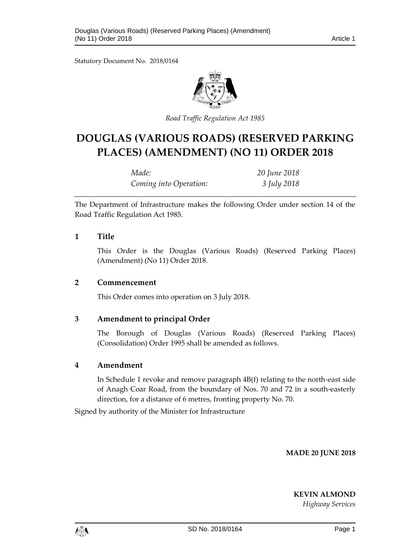Statutory Document No. 2018/0164



*Road Traffic Regulation Act 1985*

# **DOUGLAS (VARIOUS ROADS) (RESERVED PARKING PLACES) (AMENDMENT) (NO 11) ORDER 2018**

| Made:                  | 20 June 2018 |
|------------------------|--------------|
| Coming into Operation: | 3 July 2018  |

The Department of Infrastructure makes the following Order under section 14 of the Road Traffic Regulation Act 1985.

### **1 Title**

This Order is the Douglas (Various Roads) (Reserved Parking Places) (Amendment) (No 11) Order 2018.

#### **2 Commencement**

This Order comes into operation on 3 July 2018.

## **3 Amendment to principal Order**

The Borough of Douglas (Various Roads) (Reserved Parking Places) (Consolidation) Order 1995 shall be amended as follows.

## **4 Amendment**

In Schedule 1 revoke and remove paragraph 4B(f) relating to the north-east side of Anagh Coar Road, from the boundary of Nos. 70 and 72 in a south-easterly direction, for a distance of 6 metres, fronting property No. 70.

Signed by authority of the Minister for Infrastructure

**MADE 20 JUNE 2018**

**KEVIN ALMOND**

*Highway Services*